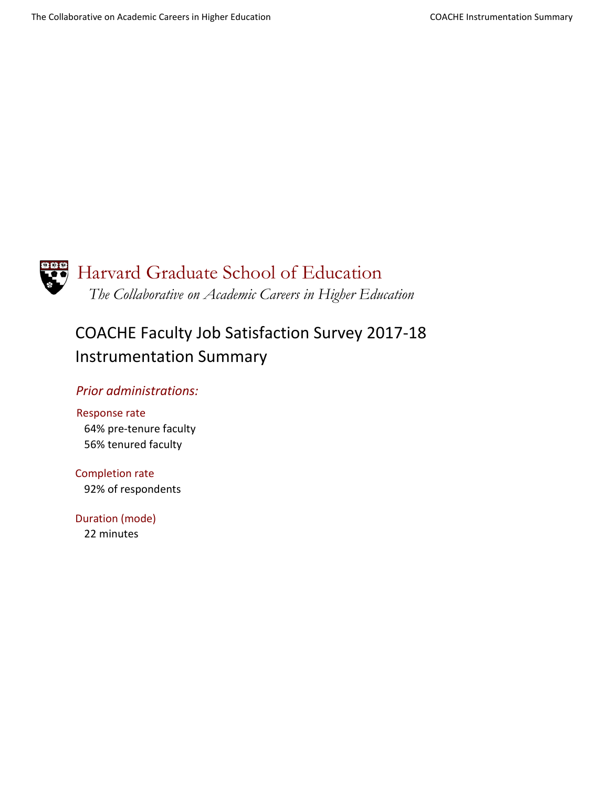

# Harvard Graduate School of Education *The Collaborative on Academic Careers in Higher Education*

# COACHE Faculty Job Satisfaction Survey 2017-18 Instrumentation Summary

### *Prior administrations:*

Response rate 64% pre-tenure faculty 56% tenured faculty

Completion rate 92% of respondents

Duration (mode) 22 minutes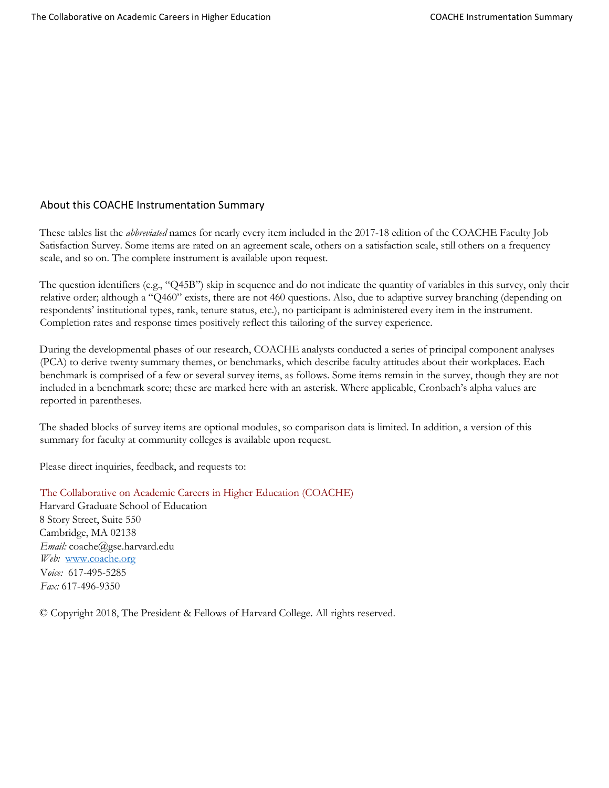#### About this COACHE Instrumentation Summary

These tables list the *abbreviated* names for nearly every item included in the 2017-18 edition of the COACHE Faculty Job Satisfaction Survey. Some items are rated on an agreement scale, others on a satisfaction scale, still others on a frequency scale, and so on. The complete instrument is available upon request.

The question identifiers (e.g., "Q45B") skip in sequence and do not indicate the quantity of variables in this survey, only their relative order; although a "Q460" exists, there are not 460 questions. Also, due to adaptive survey branching (depending on respondents' institutional types, rank, tenure status, etc.), no participant is administered every item in the instrument. Completion rates and response times positively reflect this tailoring of the survey experience.

During the developmental phases of our research, COACHE analysts conducted a series of principal component analyses (PCA) to derive twenty summary themes, or benchmarks, which describe faculty attitudes about their workplaces. Each benchmark is comprised of a few or several survey items, as follows. Some items remain in the survey, though they are not included in a benchmark score; these are marked here with an asterisk. Where applicable, Cronbach's alpha values are reported in parentheses.

The shaded blocks of survey items are optional modules, so comparison data is limited. In addition, a version of this summary for faculty at community colleges is available upon request.

Please direct inquiries, feedback, and requests to:

The Collaborative on Academic Careers in Higher Education (COACHE) Harvard Graduate School of Education 8 Story Street, Suite 550 Cambridge, MA 02138 *Email:* coache@gse.harvard.edu *Web:* [www.coache.org](http://www.coache.org/) V*oice:* 617-495-5285 *Fax:* 617-496-9350

© Copyright 2018, The President & Fellows of Harvard College. All rights reserved.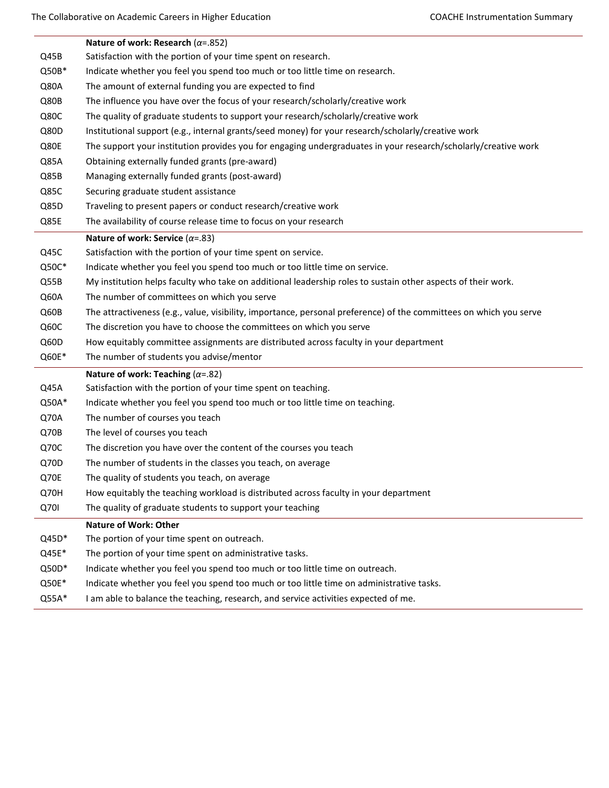|       | Nature of work: Research ( $\alpha$ =.852)                                                                         |
|-------|--------------------------------------------------------------------------------------------------------------------|
| Q45B  | Satisfaction with the portion of your time spent on research.                                                      |
| Q50B* | Indicate whether you feel you spend too much or too little time on research.                                       |
| Q80A  | The amount of external funding you are expected to find                                                            |
| Q80B  | The influence you have over the focus of your research/scholarly/creative work                                     |
| Q80C  | The quality of graduate students to support your research/scholarly/creative work                                  |
| Q80D  | Institutional support (e.g., internal grants/seed money) for your research/scholarly/creative work                 |
| Q80E  | The support your institution provides you for engaging undergraduates in your research/scholarly/creative work     |
| Q85A  | Obtaining externally funded grants (pre-award)                                                                     |
| Q85B  | Managing externally funded grants (post-award)                                                                     |
| Q85C  | Securing graduate student assistance                                                                               |
| Q85D  | Traveling to present papers or conduct research/creative work                                                      |
| Q85E  | The availability of course release time to focus on your research                                                  |
|       | Nature of work: Service ( $\alpha$ =.83)                                                                           |
| Q45C  | Satisfaction with the portion of your time spent on service.                                                       |
| Q50C* | Indicate whether you feel you spend too much or too little time on service.                                        |
| Q55B  | My institution helps faculty who take on additional leadership roles to sustain other aspects of their work.       |
| Q60A  | The number of committees on which you serve                                                                        |
| Q60B  | The attractiveness (e.g., value, visibility, importance, personal preference) of the committees on which you serve |
| Q60C  | The discretion you have to choose the committees on which you serve                                                |
| Q60D  | How equitably committee assignments are distributed across faculty in your department                              |
| Q60E* | The number of students you advise/mentor                                                                           |
|       | Nature of work: Teaching ( $\alpha$ =.82)                                                                          |
| Q45A  | Satisfaction with the portion of your time spent on teaching.                                                      |
| Q50A* | Indicate whether you feel you spend too much or too little time on teaching.                                       |
| Q70A  | The number of courses you teach                                                                                    |
| Q70B  | The level of courses you teach                                                                                     |
| Q70C  | The discretion you have over the content of the courses you teach                                                  |
| Q70D  | The number of students in the classes you teach, on average                                                        |
| Q70E  | The quality of students you teach, on average                                                                      |
| Q70H  | How equitably the teaching workload is distributed across faculty in your department                               |
| Q70I  | The quality of graduate students to support your teaching                                                          |
|       | <b>Nature of Work: Other</b>                                                                                       |
| Q45D* | The portion of your time spent on outreach.                                                                        |
| Q45E* | The portion of your time spent on administrative tasks.                                                            |
| Q50D* | Indicate whether you feel you spend too much or too little time on outreach.                                       |
| Q50E* | Indicate whether you feel you spend too much or too little time on administrative tasks.                           |
| Q55A* | I am able to balance the teaching, research, and service activities expected of me.                                |
|       |                                                                                                                    |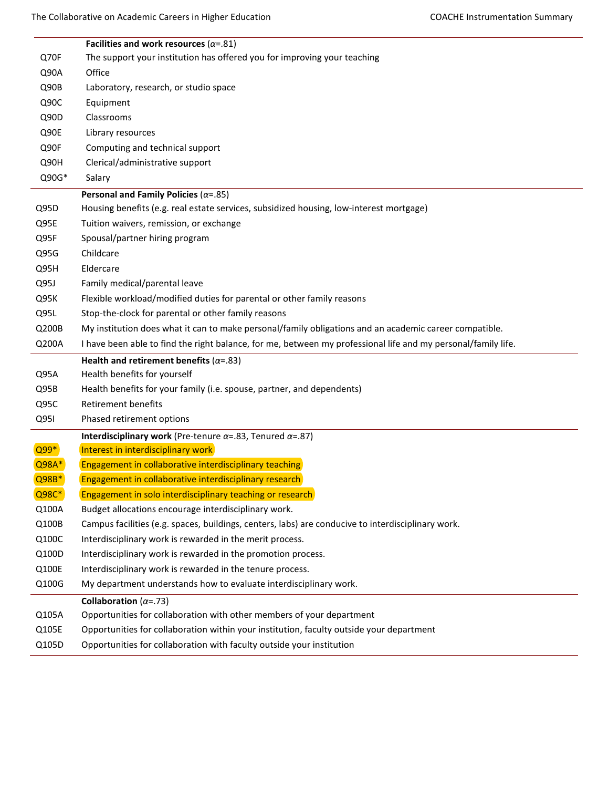|                | Facilities and work resources ( $\alpha$ =.81)                                                                                                                    |
|----------------|-------------------------------------------------------------------------------------------------------------------------------------------------------------------|
| Q70F           | The support your institution has offered you for improving your teaching                                                                                          |
| Q90A           | Office                                                                                                                                                            |
| Q90B           | Laboratory, research, or studio space                                                                                                                             |
| Q90C           | Equipment                                                                                                                                                         |
| Q90D           | Classrooms                                                                                                                                                        |
| Q90E           | Library resources                                                                                                                                                 |
| Q90F           | Computing and technical support                                                                                                                                   |
| Q90H           | Clerical/administrative support                                                                                                                                   |
| Q90G*          | Salary                                                                                                                                                            |
|                | Personal and Family Policies ( $\alpha$ =.85)                                                                                                                     |
| Q95D           | Housing benefits (e.g. real estate services, subsidized housing, low-interest mortgage)                                                                           |
| Q95E           | Tuition waivers, remission, or exchange                                                                                                                           |
| Q95F           | Spousal/partner hiring program                                                                                                                                    |
| Q95G           | Childcare                                                                                                                                                         |
| Q95H           | Eldercare                                                                                                                                                         |
| Q95J           | Family medical/parental leave                                                                                                                                     |
| Q95K           | Flexible workload/modified duties for parental or other family reasons                                                                                            |
| Q95L           | Stop-the-clock for parental or other family reasons                                                                                                               |
| Q200B          | My institution does what it can to make personal/family obligations and an academic career compatible.                                                            |
| Q200A          | I have been able to find the right balance, for me, between my professional life and my personal/family life.                                                     |
|                |                                                                                                                                                                   |
|                | Health and retirement benefits ( $\alpha$ =.83)                                                                                                                   |
| Q95A           | Health benefits for yourself                                                                                                                                      |
| Q95B           | Health benefits for your family (i.e. spouse, partner, and dependents)                                                                                            |
| Q95C           | <b>Retirement benefits</b>                                                                                                                                        |
| Q951           | Phased retirement options                                                                                                                                         |
|                | Interdisciplinary work (Pre-tenure $\alpha$ =.83, Tenured $\alpha$ =.87)                                                                                          |
| Q99*           | Interest in interdisciplinary work                                                                                                                                |
| Q98A*          | Engagement in collaborative interdisciplinary teaching                                                                                                            |
| Q98B*          | Engagement in collaborative interdisciplinary research                                                                                                            |
| Q98C*          | Engagement in solo interdisciplinary teaching or research                                                                                                         |
| Q100A          | Budget allocations encourage interdisciplinary work.                                                                                                              |
| Q100B          | Campus facilities (e.g. spaces, buildings, centers, labs) are conducive to interdisciplinary work.                                                                |
| Q100C          | Interdisciplinary work is rewarded in the merit process.                                                                                                          |
| Q100D          | Interdisciplinary work is rewarded in the promotion process.                                                                                                      |
| Q100E          | Interdisciplinary work is rewarded in the tenure process.                                                                                                         |
| Q100G          | My department understands how to evaluate interdisciplinary work.                                                                                                 |
|                | Collaboration ( $\alpha$ =.73)                                                                                                                                    |
| Q105A          | Opportunities for collaboration with other members of your department                                                                                             |
| Q105E<br>Q105D | Opportunities for collaboration within your institution, faculty outside your department<br>Opportunities for collaboration with faculty outside your institution |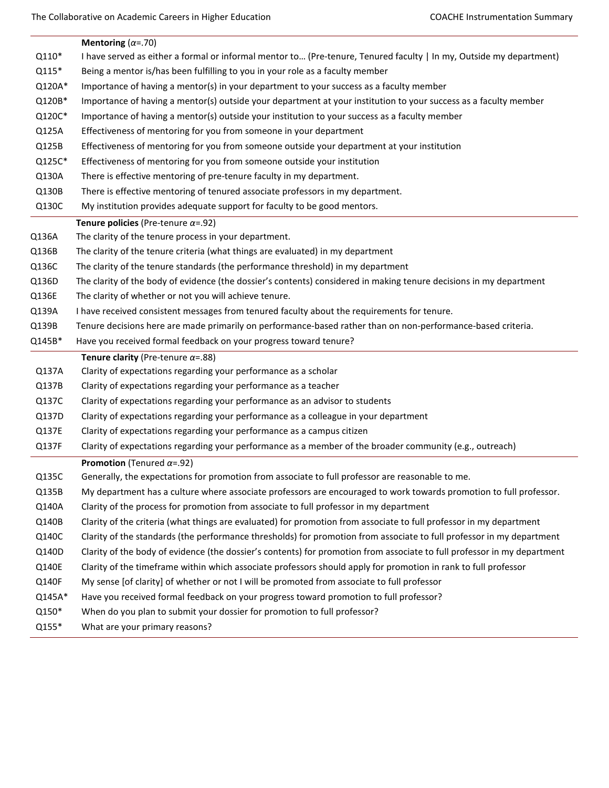|        | Mentoring ( $\alpha$ =.70)                                                                                               |
|--------|--------------------------------------------------------------------------------------------------------------------------|
| Q110*  | I have served as either a formal or informal mentor to (Pre-tenure, Tenured faculty   In my, Outside my department)      |
| Q115*  | Being a mentor is/has been fulfilling to you in your role as a faculty member                                            |
| Q120A* | Importance of having a mentor(s) in your department to your success as a faculty member                                  |
| Q120B* | Importance of having a mentor(s) outside your department at your institution to your success as a faculty member         |
| Q120C* | Importance of having a mentor(s) outside your institution to your success as a faculty member                            |
| Q125A  | Effectiveness of mentoring for you from someone in your department                                                       |
| Q125B  | Effectiveness of mentoring for you from someone outside your department at your institution                              |
| Q125C* | Effectiveness of mentoring for you from someone outside your institution                                                 |
| Q130A  | There is effective mentoring of pre-tenure faculty in my department.                                                     |
| Q130B  | There is effective mentoring of tenured associate professors in my department.                                           |
| Q130C  | My institution provides adequate support for faculty to be good mentors.                                                 |
|        | Tenure policies (Pre-tenure $\alpha$ =.92)                                                                               |
| Q136A  | The clarity of the tenure process in your department.                                                                    |
| Q136B  | The clarity of the tenure criteria (what things are evaluated) in my department                                          |
| Q136C  | The clarity of the tenure standards (the performance threshold) in my department                                         |
| Q136D  | The clarity of the body of evidence (the dossier's contents) considered in making tenure decisions in my department      |
| Q136E  | The clarity of whether or not you will achieve tenure.                                                                   |
| Q139A  | I have received consistent messages from tenured faculty about the requirements for tenure.                              |
| Q139B  | Tenure decisions here are made primarily on performance-based rather than on non-performance-based criteria.             |
| Q145B* | Have you received formal feedback on your progress toward tenure?                                                        |
|        | Tenure clarity (Pre-tenure $\alpha$ =.88)                                                                                |
| Q137A  | Clarity of expectations regarding your performance as a scholar                                                          |
| Q137B  | Clarity of expectations regarding your performance as a teacher                                                          |
| Q137C  | Clarity of expectations regarding your performance as an advisor to students                                             |
| Q137D  | Clarity of expectations regarding your performance as a colleague in your department                                     |
| Q137E  |                                                                                                                          |
|        | Clarity of expectations regarding your performance as a campus citizen                                                   |
| Q137F  | Clarity of expectations regarding your performance as a member of the broader community (e.g., outreach)                 |
|        | <b>Promotion</b> (Tenured $\alpha$ =.92)                                                                                 |
| Q135C  | Generally, the expectations for promotion from associate to full professor are reasonable to me.                         |
| Q135B  | My department has a culture where associate professors are encouraged to work towards promotion to full professor.       |
| Q140A  | Clarity of the process for promotion from associate to full professor in my department                                   |
| Q140B  | Clarity of the criteria (what things are evaluated) for promotion from associate to full professor in my department      |
| Q140C  | Clarity of the standards (the performance thresholds) for promotion from associate to full professor in my department    |
| Q140D  | Clarity of the body of evidence (the dossier's contents) for promotion from associate to full professor in my department |
| Q140E  | Clarity of the timeframe within which associate professors should apply for promotion in rank to full professor          |
| Q140F  | My sense [of clarity] of whether or not I will be promoted from associate to full professor                              |
| Q145A* | Have you received formal feedback on your progress toward promotion to full professor?                                   |
| Q150*  | When do you plan to submit your dossier for promotion to full professor?                                                 |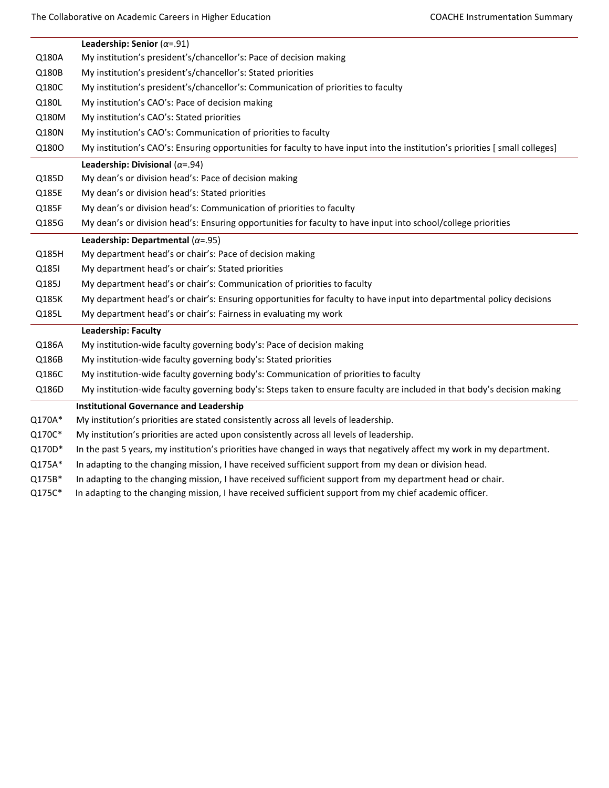|        | Leadership: Senior ( $\alpha$ =.91)                                                                                         |
|--------|-----------------------------------------------------------------------------------------------------------------------------|
| Q180A  | My institution's president's/chancellor's: Pace of decision making                                                          |
| Q180B  | My institution's president's/chancellor's: Stated priorities                                                                |
| Q180C  | My institution's president's/chancellor's: Communication of priorities to faculty                                           |
| Q180L  | My institution's CAO's: Pace of decision making                                                                             |
| Q180M  | My institution's CAO's: Stated priorities                                                                                   |
| Q180N  | My institution's CAO's: Communication of priorities to faculty                                                              |
| Q1800  | My institution's CAO's: Ensuring opportunities for faculty to have input into the institution's priorities [small colleges] |
|        | Leadership: Divisional ( $\alpha$ =.94)                                                                                     |
| Q185D  | My dean's or division head's: Pace of decision making                                                                       |
| Q185E  | My dean's or division head's: Stated priorities                                                                             |
| Q185F  | My dean's or division head's: Communication of priorities to faculty                                                        |
| Q185G  | My dean's or division head's: Ensuring opportunities for faculty to have input into school/college priorities               |
|        | Leadership: Departmental ( $\alpha$ =.95)                                                                                   |
| Q185H  | My department head's or chair's: Pace of decision making                                                                    |
| Q185I  | My department head's or chair's: Stated priorities                                                                          |
| Q185J  | My department head's or chair's: Communication of priorities to faculty                                                     |
| Q185K  | My department head's or chair's: Ensuring opportunities for faculty to have input into departmental policy decisions        |
| Q185L  | My department head's or chair's: Fairness in evaluating my work                                                             |
|        | <b>Leadership: Faculty</b>                                                                                                  |
| Q186A  | My institution-wide faculty governing body's: Pace of decision making                                                       |
| Q186B  | My institution-wide faculty governing body's: Stated priorities                                                             |
| Q186C  | My institution-wide faculty governing body's: Communication of priorities to faculty                                        |
| Q186D  | My institution-wide faculty governing body's: Steps taken to ensure faculty are included in that body's decision making     |
|        | <b>Institutional Governance and Leadership</b>                                                                              |
| Q170A* | My institution's priorities are stated consistently across all levels of leadership.                                        |
| Q170C* | My institution's priorities are acted upon consistently across all levels of leadership.                                    |
| Q170D* | In the past 5 years, my institution's priorities have changed in ways that negatively affect my work in my department.      |
| Q175A* | In adapting to the changing mission, I have received sufficient support from my dean or division head.                      |
| Q175B* | In adapting to the changing mission, I have received sufficient support from my department head or chair.                   |
| Q175C* | In adapting to the changing mission, I have received sufficient support from my chief academic officer.                     |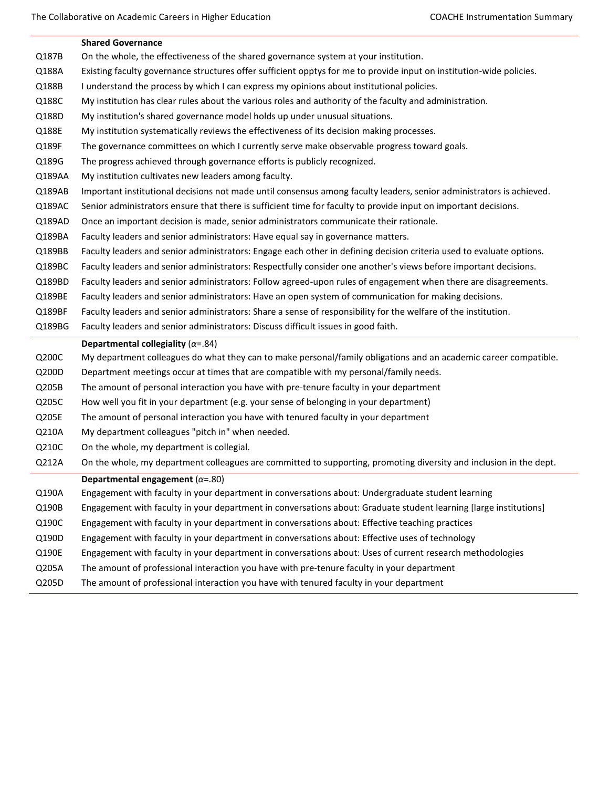|        | <b>Shared Governance</b>                                                                                             |
|--------|----------------------------------------------------------------------------------------------------------------------|
| Q187B  | On the whole, the effectiveness of the shared governance system at your institution.                                 |
| Q188A  | Existing faculty governance structures offer sufficient opptys for me to provide input on institution-wide policies. |
| Q188B  | I understand the process by which I can express my opinions about institutional policies.                            |
| Q188C  | My institution has clear rules about the various roles and authority of the faculty and administration.              |
| Q188D  | My institution's shared governance model holds up under unusual situations.                                          |
| Q188E  | My institution systematically reviews the effectiveness of its decision making processes.                            |
| Q189F  | The governance committees on which I currently serve make observable progress toward goals.                          |
| Q189G  | The progress achieved through governance efforts is publicly recognized.                                             |
| Q189AA | My institution cultivates new leaders among faculty.                                                                 |
| Q189AB | Important institutional decisions not made until consensus among faculty leaders, senior administrators is achieved. |
| Q189AC | Senior administrators ensure that there is sufficient time for faculty to provide input on important decisions.      |
| Q189AD | Once an important decision is made, senior administrators communicate their rationale.                               |
| Q189BA | Faculty leaders and senior administrators: Have equal say in governance matters.                                     |
| Q189BB | Faculty leaders and senior administrators: Engage each other in defining decision criteria used to evaluate options. |
| Q189BC | Faculty leaders and senior administrators: Respectfully consider one another's views before important decisions.     |
| Q189BD | Faculty leaders and senior administrators: Follow agreed-upon rules of engagement when there are disagreements.      |
| Q189BE | Faculty leaders and senior administrators: Have an open system of communication for making decisions.                |
|        | Faculty leaders and senior administrators: Share a sense of responsibility for the welfare of the institution.       |
| Q189BF |                                                                                                                      |
| Q189BG | Faculty leaders and senior administrators: Discuss difficult issues in good faith.                                   |
|        | Departmental collegiality ( $\alpha$ =.84)                                                                           |
| Q200C  | My department colleagues do what they can to make personal/family obligations and an academic career compatible.     |
| Q200D  | Department meetings occur at times that are compatible with my personal/family needs.                                |
| Q205B  | The amount of personal interaction you have with pre-tenure faculty in your department                               |
| Q205C  | How well you fit in your department (e.g. your sense of belonging in your department)                                |
| Q205E  | The amount of personal interaction you have with tenured faculty in your department                                  |
| Q210A  | My department colleagues "pitch in" when needed.                                                                     |
| Q210C  | On the whole, my department is collegial.                                                                            |
| Q212A  | On the whole, my department colleagues are committed to supporting, promoting diversity and inclusion in the dept.   |
|        | Departmental engagement ( $\alpha$ =.80)                                                                             |
| Q190A  | Engagement with faculty in your department in conversations about: Undergraduate student learning                    |
| Q190B  | Engagement with faculty in your department in conversations about: Graduate student learning [large institutions]    |
| Q190C  | Engagement with faculty in your department in conversations about: Effective teaching practices                      |
| Q190D  | Engagement with faculty in your department in conversations about: Effective uses of technology                      |
| Q190E  | Engagement with faculty in your department in conversations about: Uses of current research methodologies            |
| Q205A  | The amount of professional interaction you have with pre-tenure faculty in your department                           |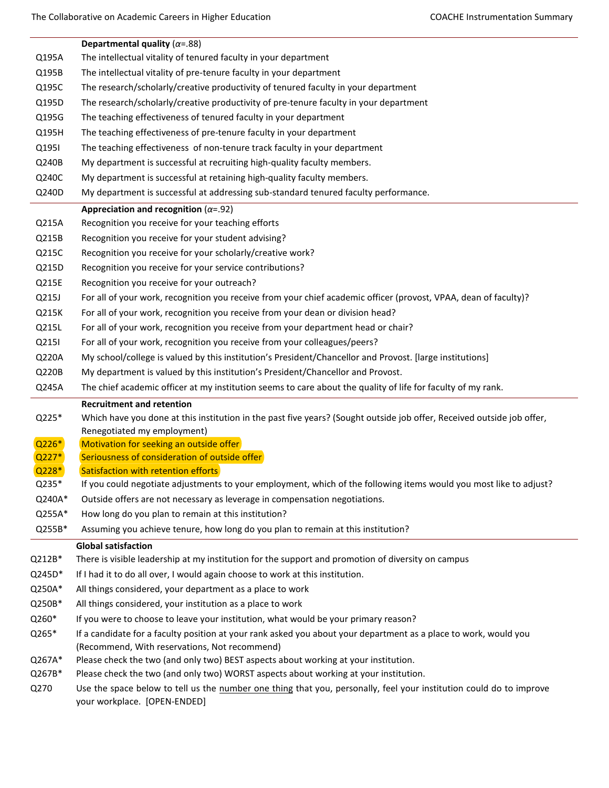|          | Departmental quality ( $\alpha$ =.88)                                                                                                                                                                       |
|----------|-------------------------------------------------------------------------------------------------------------------------------------------------------------------------------------------------------------|
| Q195A    | The intellectual vitality of tenured faculty in your department                                                                                                                                             |
| Q195B    | The intellectual vitality of pre-tenure faculty in your department                                                                                                                                          |
| Q195C    | The research/scholarly/creative productivity of tenured faculty in your department                                                                                                                          |
| Q195D    | The research/scholarly/creative productivity of pre-tenure faculty in your department                                                                                                                       |
| Q195G    | The teaching effectiveness of tenured faculty in your department                                                                                                                                            |
| Q195H    | The teaching effectiveness of pre-tenure faculty in your department                                                                                                                                         |
| Q1951    | The teaching effectiveness of non-tenure track faculty in your department                                                                                                                                   |
| Q240B    | My department is successful at recruiting high-quality faculty members.                                                                                                                                     |
| Q240C    | My department is successful at retaining high-quality faculty members.                                                                                                                                      |
| Q240D    | My department is successful at addressing sub-standard tenured faculty performance.                                                                                                                         |
|          | Appreciation and recognition ( $\alpha$ =.92)                                                                                                                                                               |
| Q215A    | Recognition you receive for your teaching efforts                                                                                                                                                           |
| Q215B    | Recognition you receive for your student advising?                                                                                                                                                          |
| Q215C    | Recognition you receive for your scholarly/creative work?                                                                                                                                                   |
| Q215D    | Recognition you receive for your service contributions?                                                                                                                                                     |
| Q215E    | Recognition you receive for your outreach?                                                                                                                                                                  |
| Q215J    | For all of your work, recognition you receive from your chief academic officer (provost, VPAA, dean of faculty)?                                                                                            |
| Q215K    | For all of your work, recognition you receive from your dean or division head?                                                                                                                              |
| Q215L    | For all of your work, recognition you receive from your department head or chair?                                                                                                                           |
| Q215I    | For all of your work, recognition you receive from your colleagues/peers?                                                                                                                                   |
| Q220A    | My school/college is valued by this institution's President/Chancellor and Provost. [large institutions]                                                                                                    |
| Q220B    | My department is valued by this institution's President/Chancellor and Provost.                                                                                                                             |
| Q245A    | The chief academic officer at my institution seems to care about the quality of life for faculty of my rank.                                                                                                |
|          | <b>Recruitment and retention</b>                                                                                                                                                                            |
| Q225*    | Which have you done at this institution in the past five years? (Sought outside job offer, Received outside job offer,                                                                                      |
|          | Renegotiated my employment)                                                                                                                                                                                 |
| $Q226*$  | Motivation for seeking an outside offer                                                                                                                                                                     |
| $Q227*$  | Seriousness of consideration of outside offer                                                                                                                                                               |
| Q228*    | Satisfaction with retention efforts                                                                                                                                                                         |
| Q235*    | If you could negotiate adjustments to your employment, which of the following items would you most like to adjust?                                                                                          |
| Q240A*   | Outside offers are not necessary as leverage in compensation negotiations.                                                                                                                                  |
| Q255A*   | How long do you plan to remain at this institution?                                                                                                                                                         |
| Q255B*   | Assuming you achieve tenure, how long do you plan to remain at this institution?                                                                                                                            |
|          | <b>Global satisfaction</b>                                                                                                                                                                                  |
| $Q212B*$ | There is visible leadership at my institution for the support and promotion of diversity on campus                                                                                                          |
| Q245D*   | If I had it to do all over, I would again choose to work at this institution.                                                                                                                               |
| Q250A*   | All things considered, your department as a place to work                                                                                                                                                   |
| Q250B*   | All things considered, your institution as a place to work                                                                                                                                                  |
| Q260*    | If you were to choose to leave your institution, what would be your primary reason?                                                                                                                         |
| Q265*    | If a candidate for a faculty position at your rank asked you about your department as a place to work, would you<br>(Recommend, With reservations, Not recommend)                                           |
| Q267A*   | Please check the two (and only two) BEST aspects about working at your institution.                                                                                                                         |
| Q267B*   | Please check the two (and only two) WORST aspects about working at your institution.<br>Use the space below to tell us the number one thing that you, personally, feel your institution could do to improve |
| Q270     |                                                                                                                                                                                                             |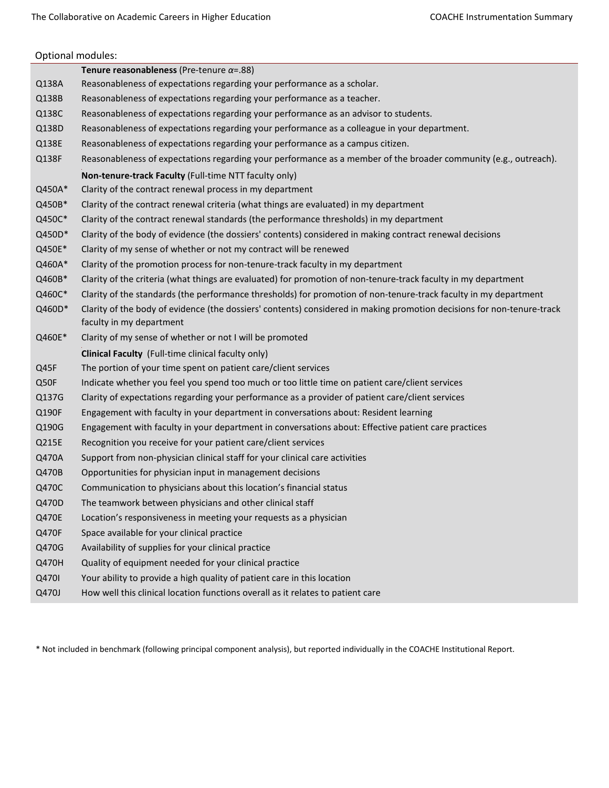|        | Optional modules:                                                                                                      |
|--------|------------------------------------------------------------------------------------------------------------------------|
|        | Tenure reasonableness (Pre-tenure $\alpha$ =.88)                                                                       |
| Q138A  | Reasonableness of expectations regarding your performance as a scholar.                                                |
| Q138B  | Reasonableness of expectations regarding your performance as a teacher.                                                |
| Q138C  | Reasonableness of expectations regarding your performance as an advisor to students.                                   |
| Q138D  | Reasonableness of expectations regarding your performance as a colleague in your department.                           |
| Q138E  | Reasonableness of expectations regarding your performance as a campus citizen.                                         |
| Q138F  | Reasonableness of expectations regarding your performance as a member of the broader community (e.g., outreach).       |
|        | Non-tenure-track Faculty (Full-time NTT faculty only)                                                                  |
| Q450A* | Clarity of the contract renewal process in my department                                                               |
| Q450B* | Clarity of the contract renewal criteria (what things are evaluated) in my department                                  |
| Q450C* | Clarity of the contract renewal standards (the performance thresholds) in my department                                |
| Q450D* | Clarity of the body of evidence (the dossiers' contents) considered in making contract renewal decisions               |
| Q450E* | Clarity of my sense of whether or not my contract will be renewed                                                      |
| Q460A* | Clarity of the promotion process for non-tenure-track faculty in my department                                         |
| Q460B* | Clarity of the criteria (what things are evaluated) for promotion of non-tenure-track faculty in my department         |
| Q460C* | Clarity of the standards (the performance thresholds) for promotion of non-tenure-track faculty in my department       |
| Q460D* | Clarity of the body of evidence (the dossiers' contents) considered in making promotion decisions for non-tenure-track |
|        | faculty in my department                                                                                               |
| Q460E* | Clarity of my sense of whether or not I will be promoted                                                               |
|        |                                                                                                                        |
|        | Clinical Faculty (Full-time clinical faculty only)                                                                     |
| Q45F   | The portion of your time spent on patient care/client services                                                         |
| Q50F   | Indicate whether you feel you spend too much or too little time on patient care/client services                        |
| Q137G  | Clarity of expectations regarding your performance as a provider of patient care/client services                       |
| Q190F  | Engagement with faculty in your department in conversations about: Resident learning                                   |
| Q190G  | Engagement with faculty in your department in conversations about: Effective patient care practices                    |
| Q215E  | Recognition you receive for your patient care/client services                                                          |
| Q470A  | Support from non-physician clinical staff for your clinical care activities                                            |
| Q470B  | Opportunities for physician input in management decisions                                                              |
| Q470C  | Communication to physicians about this location's financial status                                                     |
| Q470D  | The teamwork between physicians and other clinical staff                                                               |
| Q470E  | Location's responsiveness in meeting your requests as a physician                                                      |
| Q470F  | Space available for your clinical practice                                                                             |
| Q470G  | Availability of supplies for your clinical practice                                                                    |
| Q470H  | Quality of equipment needed for your clinical practice                                                                 |
| Q470I  | Your ability to provide a high quality of patient care in this location                                                |
| Q470J  | How well this clinical location functions overall as it relates to patient care                                        |

\* Not included in benchmark (following principal component analysis), but reported individually in the COACHE Institutional Report.